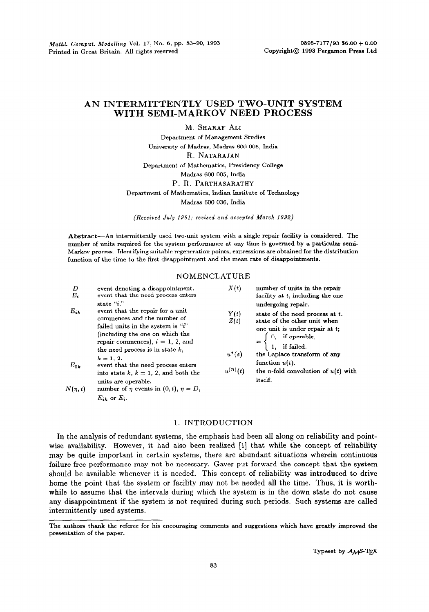# **AN INTERMITTENTLY USED TWO-UNIT SYSTEM WITH SEMI-MARKOV NEED PROCESS**

**M.** SHARAF ALI

Department of Management Studies University of Madras, Madras 600 005, India R. NATARAJAN Department of Mathematics, Presidency College Madras 600 005, India P. R. PARTHASARATHY Department of Mathematics, lndian Institute of Technology Madras 600 036, India

*(Received July 1991;* revised *and accepted March 1992)* 

Abstract-An intermittently used two-unit system with a single repair facility is considered. The number of units required for the system performance at any time is governed by a particular semi-Marlcov process. Identifying suitable regeneration points, expressions are obtained for the distribution function of the time to the first disappointment and the mean rate of disappointments.

### NOMENCLATURE

| D                    | event denoting a disappointment.                                | X(t)                                     | number of units in the repair<br>facility at $t$ , including the one                                                                                                                                                                                                                       |
|----------------------|-----------------------------------------------------------------|------------------------------------------|--------------------------------------------------------------------------------------------------------------------------------------------------------------------------------------------------------------------------------------------------------------------------------------------|
| $E_i$                | event that the need process enters                              |                                          |                                                                                                                                                                                                                                                                                            |
|                      | state "i."                                                      |                                          | undergoing repair.                                                                                                                                                                                                                                                                         |
| $E_{ik}$<br>$E_{0k}$ | event that the repair for a unit<br>commences and the number of | Y(t)<br>Z(t)<br>$u^*(s)$<br>$u^{(n)}(t)$ | state of the need process at t.<br>state of the other unit when<br>one unit is under repair at t;<br>$=\begin{cases} 0, & \text{if operable,} \\ 1, & \text{if failed.} \end{cases}$<br>the Laplace transform of any<br>function $u(t)$ .<br>the <i>n</i> -fold convolution of $u(t)$ with |
|                      | failed units in the system is "i"                               |                                          |                                                                                                                                                                                                                                                                                            |
|                      | (including the one on which the                                 |                                          |                                                                                                                                                                                                                                                                                            |
|                      | repair commences), $i = 1, 2$ , and                             |                                          |                                                                                                                                                                                                                                                                                            |
|                      | the need process is in state $k$ ,                              |                                          |                                                                                                                                                                                                                                                                                            |
|                      | $k = 1, 2.$                                                     |                                          |                                                                                                                                                                                                                                                                                            |
|                      | event that the need process enters                              |                                          |                                                                                                                                                                                                                                                                                            |
|                      | into state k, $k = 1, 2$ , and both the                         |                                          |                                                                                                                                                                                                                                                                                            |
|                      | units are operable.                                             |                                          | itself.                                                                                                                                                                                                                                                                                    |
| $N(\eta,t)$          | number of $\eta$ events in $(0, t)$ , $\eta = D$ ,              |                                          |                                                                                                                                                                                                                                                                                            |
|                      | $E_{ik}$ or $E_i$ .                                             |                                          |                                                                                                                                                                                                                                                                                            |

## 1. INTRODUCTION

In the analysis of redundant systems, the emphasis had been all along on reliability and pointwise availability. However, it had also been realized [l] that while the concept of reliability may be quite important in certain systems, there are abundant situations wherein continuous failure-free performance may not be necessary. Gaver put forward the concept that the system should be available whenever it is needed. This concept of reliability was introduced to drive home the point that the system or facility may not be needed all the time. Thus, it is worthwhile to assume that the intervals during which the system is in the down state do not cause any disappointment if the system is not required during such periods. Such systems are called intermittently used systems.

The authors thank the referee for his encouraging comments and suggestions which have greatly improved the presentation of the paper.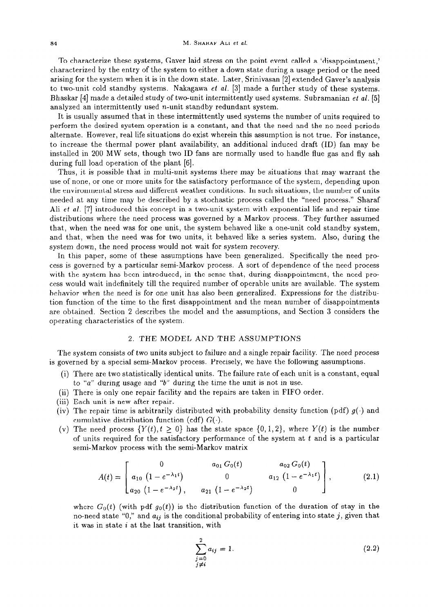To characterize these systems, Gaver laid stress on the point event called a 'disappointment,' characterized by the entry of the system to either a down state during a usage period or the need arising for the system when it is in the down state. Later, Srinivasan [2] extended Gaver's analysis to two-unit cold standby systems. Nakagawa *et al.* [3] made a further study of these systems. Bhaskar [4] made a detailed study of two-unit intermittently used systems. Subramanian et al. [5] analyzed an intermittently used n-unit standby redundant system.

It is usually assumed that in these intermittently used systems the number of units required to perform the desired system operation is a constant, and that the need and the no-need periods alternate. However, real life situations do exist wherein this assumption is not true. For instance, to increase the thermal power plant availability, an additional induced draft (ID) fan may be installed in 200 MW sets, though two ID fans are normally used to handle flue gas and fly ash during full load operation of the plant [6].

Thus, it is possible that in multi-unit systems there may be situations that may warrant the use of none, or one or more units for the satisfactory performance of the system, depending upon the environmental stress and different weather conditions. In such situations, the number of units needed at any time may be described by a stochastic process called the "need process." Sharaf Ali *et al.* [7] introduced this concept in a two-unit system with exponential life and repair time distributions where the need process was governed by a Markov process. They further assumed that, when the need was for one unit, the system behaved like a one-unit cold standby system, and that, when the need was for two units, it behaved like a series system. Also, during the system down, the need process would not wait for system recovery.

In this paper, some of these assumptions have been generalized. Specifically the need process is governed by a particular semi-Markov process. A sort of dependence of the need process with the system has been introduced, in the sense that, during disappointment, the need process would wait indefinitely till the required number of operable units are available. The system behavior when the need is for one unit has also been generalized. Expressions for the distribution function of the time to the first disappointment and the mean number of disappointments are obtained. Section 2 describes the model and the assumptions, and Section 3 considers the operating characteristics of the system.

### 2. THE MODEL AND THE ASSUMPTIONS

The system consists of two units subject to failure and a single repair facility. The need process is governed by a special semi-Markov process. Precisely, we have the following assumptions.

- $(\mathrm{i})$  There are two statistically identical units. The failure rate of each unit is a constant, equal that  $\mathrm{u}$ to *"a"* during usage and "b" during the time the unit is not in use.
- (ii) There is only one repair facility and the repairs are taken in FIFO order.
- (iii) Each unit is new after repair.
- (iv) The repair time is arbitrarily distributed with probability density function (pdf)  $g(\cdot)$  and cumulative distribution function (cdf)  $G(.)$ .
- (v) The need process  $\{Y(t), t \geq 0\}$  has the state space  $\{0, 1, 2\}$ , where  $Y(t)$  is the number of units required for the satisfactory performance of the system at t and is a particular semi-Markov process with the semi-Markov matrix

$$
A(t) = \begin{bmatrix} 0 & a_{01} G_0(t) & a_{02} G_0(t) \\ a_{10} (1 - e^{-\lambda_1 t}) & 0 & a_{12} (1 - e^{-\lambda_1 t}) \\ a_{20} (1 - e^{-\lambda_2 t}), & a_{21} (1 - e^{-\lambda_2 t}) & 0 \end{bmatrix},
$$
(2.1)

where  $G_0(t)$  (with pdf  $g_0(t)$ ) is the distribution function of the duration of stay in the no-need state "0," and  $a_{ij}$  is the conditional probability of entering into state j, given that it was in state  $i$  at the last transition, with

$$
\sum_{\substack{j=0 \ j \neq i}}^{2} a_{ij} = 1.
$$
 (2.2)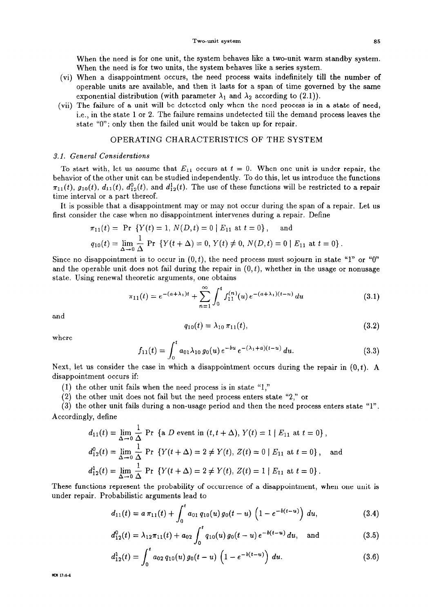**When the** need is for one unit, the system behaves like a two-unit warm standby system. When the need is for two units, the system behaves like a series system.

- (vi) When a disappointment occurs, the need process waits indefinitely till the number of operable units are available, and then it lasts for a span of time governed by the same exponential distribution (with parameter  $\lambda_1$  and  $\lambda_2$  according to (2.1)).
- (vii) The failure of a unit will be detected only when the need process is in a state of need i.e., in the state 1 or 2. The failure remains undetected till the demand process leaves the state "0"; only then the failed unit would be taken up for repair.

# OPERATING CHARACTERISTICS OF THE SYSTEM

### 3.1. *General Considerations*

To start with, let us assume that  $E_{11}$  occurs at  $t = 0$ . When one unit is under repair, the behavior of the other unit can be studied independently. To do this, let us introduce the functions  $\pi_{11}(t)$ ,  $g_{10}(t)$ ,  $d_{11}(t)$ ,  $d_{12}^0(t)$ , and  $d_{12}^1(t)$ . The use of these functions will be restricted to a repair time interval or a part thereof.

It is possible that a disappointment may or may not occur during the span of a repair. Let us first consider the case when no disappointment intervenes during a repair. Define

$$
\pi_{11}(t) = \Pr \{ Y(t) = 1, N(D, t) = 0 \mid E_{11} \text{ at } t = 0 \}, \text{ and}
$$
  
\n
$$
q_{10}(t) = \lim_{\Delta \to 0} \frac{1}{\Delta} \Pr \{ Y(t + \Delta) = 0, Y(t) \neq 0, N(D, t) = 0 \mid E_{11} \text{ at } t = 0 \}.
$$

Since no disappointment is to occur in  $(0, t)$ , the need process must sojourn in state "1" or "0" and the operable unit does not fail during the repair in  $(0, t)$ , whether in the usage or nonusage state. Using renewal theoretic arguments, one obtains

$$
\pi_{11}(t) = e^{-(a+\lambda_1)t} + \sum_{n=1}^{\infty} \int_0^t f_{11}^{(n)}(u) e^{-(a+\lambda_1)(t-u)} du \qquad (3.1)
$$

and

$$
q_{10}(t) = \lambda_{10} \,\pi_{11}(t),\tag{3.2}
$$

where

$$
f_{11}(t) = \int_0^t a_{01} \lambda_{10} g_0(u) e^{-bu} e^{-(\lambda_1 + a)(t-u)} du.
$$
 (3.3)

Next, let us consider the case in which a disappointment occurs during the repair in  $(0,t)$ . A disappointment occurs if:

- (1) the other unit fails when the need process is in state "1,"
- (2) the other unit does not fail but the need process enters state "2," or

(3) the other unit fails during a non-usage period and then the need process enters state "1". Accordingly, define

$$
d_{11}(t) = \lim_{\Delta \to 0} \frac{1}{\Delta} \text{ Pr } \{a \ D \text{ event in } (t, t + \Delta), Y(t) = 1 \mid E_{11} \text{ at } t = 0 \},
$$
  
\n
$$
d_{12}^0(t) = \lim_{\Delta \to 0} \frac{1}{\Delta} \text{ Pr } \{Y(t + \Delta) = 2 \neq Y(t), Z(t) = 0 \mid E_{11} \text{ at } t = 0 \},
$$
 and  
\n
$$
d_{12}^1(t) = \lim_{\Delta \to 0} \frac{1}{\Delta} \text{ Pr } \{Y(t + \Delta) = 2 \neq Y(t), Z(t) = 1 \mid E_{11} \text{ at } t = 0 \}.
$$

These functions represent the probability of occurrence of a disappointment, when one unit is under repair. Probabilistic arguments lead to

$$
d_{11}(t) = a \pi_{11}(t) + \int_0^t a_{01} q_{10}(u) g_0(t-u) \left(1 - e^{-b(t-u)}\right) du, \qquad (3.4)
$$

$$
d_{11}(t) = a \pi_{11}(t) + \int_0^{t} a_{01} q_{10}(u) g_0(t-u) \left(1 - e^{-(t-u)}\right) du,
$$
\n
$$
d_{12}^0(t) = \lambda_{12} \pi_{11}(t) + a_{02} \int_0^t q_{10}(u) g_0(t-u) e^{-b(t-u)} du,
$$
 and\n
$$
(3.5)
$$

$$
d_{12}^1(t) = \int_0^t a_{02} q_{10}(u) g_0(t-u) \left(1 - e^{-b(t-u)}\right) du.
$$
 (3.6)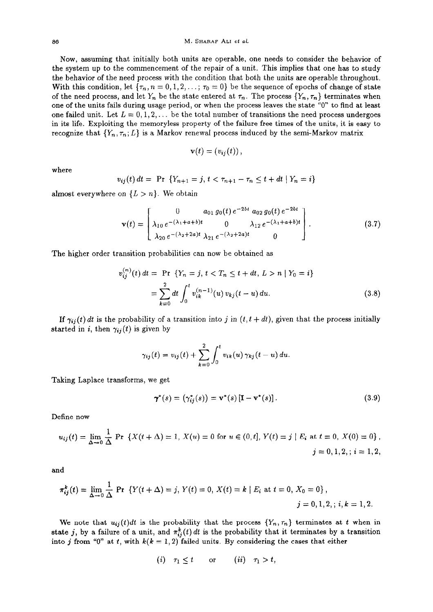#### 86 M. **SHARAF ALI** *et al.*

*Now,* assuming that initially both units are operable, one needs to consider the behavior of the system up to the commencement of the repair of a unit. This implies that one has to study the behavior of the need process with the condition that both the units are operable throughout, With this condition, let  $\{\tau_n, n = 0, 1, 2, \ldots; \tau_0 = 0\}$  be the sequence of epochs of change of state of the need process, and let  $Y_n$  be the state entered at  $\tau_n$ . The process  $\{Y_n, \tau_n\}$  terminates when one of the units fails during usage period, or when the process leaves the state "0" to find at least one failed unit. Let  $L = 0, 1, 2, \ldots$  be the total number of transitions the need process undergoes in its life. Exploiting the memoryless property of the failure free times of the units, it is easy to recognize that  $\{Y_n, \tau_n; L\}$  is a Markov renewal process induced by the semi-Markov matrix

$$
\mathbf{v}(t)=(v_{ij}(t)),
$$

where

$$
v_{ij}(t) dt = \Pr \{Y_{n+1} = j, t < \tau_{n+1} - \tau_n \leq t + dt \mid Y_n = i\}
$$

almost everywhere on  $\{L > n\}$ . We obtain

$$
\mathbf{v}(t) = \begin{bmatrix} 0 & a_{01} g_0(t) e^{-2bt} a_{02} g_0(t) e^{-2bt} \\ \lambda_{10} e^{-(\lambda_1 + a + b)t} & 0 & \lambda_{12} e^{-(\lambda_1 + a + b)t} \\ \lambda_{20} e^{-(\lambda_2 + 2a)t} \lambda_{21} e^{-(\lambda_2 + 2a)t} & 0 \end{bmatrix}.
$$
 (3.7)

The higher order transition probabilities can now be obtained as

$$
v_{ij}^{(n)}(t) dt = \Pr \{ Y_n = j, t < T_n \le t + dt, L > n \mid Y_0 = i \}
$$
  
= 
$$
\sum_{k=0}^{2} dt \int_{0}^{t} v_{ik}^{(n-1)}(u) v_{kj}(t-u) du.
$$
 (3.8)

If  $\gamma_{ij}(t)$  *dt* is the probability of a transition into *j* in  $(t, t + dt)$ , given that the process initiall started in i, then  $\gamma_{ij}(t)$  is given by

$$
\gamma_{ij}(t) = v_{ij}(t) + \sum_{k=0}^{2} \int_{0}^{t} v_{ik}(u) \, \gamma_{kj}(t-u) \, du.
$$

Taking Laplace transforms, we get

$$
\boldsymbol{\gamma}^*(s) = (\gamma_{ij}^*(s)) = \mathbf{v}^*(s) [\mathbf{I} - \mathbf{v}^*(s)]. \qquad (3.9)
$$

Define now

$$
u_{ij}(t) = \lim_{\Delta \to 0} \frac{1}{\Delta} \Pr \left\{ X(t + \Delta) = 1, X(u) = 0 \text{ for } u \in (0, t], Y(t) = j \mid E_i \text{ at } t = 0, X(0) = 0 \right\},\
$$
  

$$
j = 0, 1, 2, ; i = 1, 2,
$$

and

$$
\pi_{ij}^k(t) = \lim_{\Delta \to 0} \frac{1}{\Delta} \text{ Pr } \{ Y(t + \Delta) = j, Y(t) = 0, X(t) = k \mid E_i \text{ at } t = 0, X_0 = 0 \},
$$
  
 $j = 0, 1, 2, \, i, k = 1, 2.$ 

We note that  $u_{ij}(t)dt$  is the probability that the process  $\{Y_n, \tau_n\}$  terminates at t when in state j, by a failure of a unit, and  $\pi_{ij}^k(t) dt$  is the probability that it terminates by a transition into j from "0" at t, with  $k(k = 1, 2)$  failed units. By considering the cases that either

$$
(i) \quad \tau_1 \leq t \qquad \text{or} \qquad (ii) \quad \tau_1 > t,
$$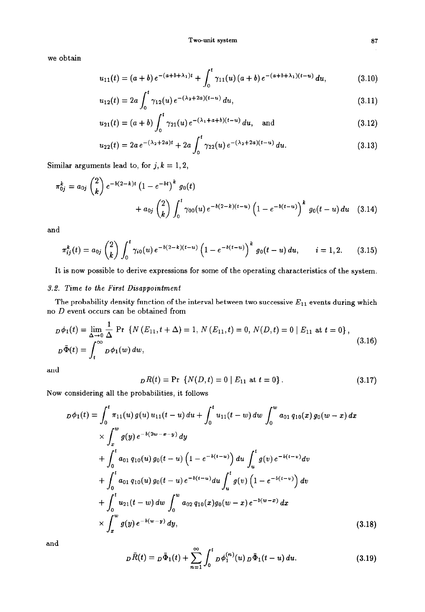we obtain

$$
u_{11}(t) = (a+b) e^{-(a+b+\lambda_1)t} + \int_0^t \gamma_{11}(u) (a+b) e^{-(a+b+\lambda_1)(t-u)} du,
$$
(3.10)  

$$
u_{12}(t) = 2a \int_0^t \gamma_{12}(u) e^{-(\lambda_2+2a)(t-u)} du,
$$
(3.11)

$$
u_{12}(t) = 2a \int_0^t \gamma_{12}(u) e^{-(\lambda_2 + 2a)(t-u)} du,
$$
\n(3.11)

$$
u_{21}(t) = (a+b) \int_0^t \gamma_{21}(u) e^{-(\lambda_1 + a+b)(t-u)} du, \text{ and } (3.12)
$$

$$
u_{21}(t) = (a + b) \int_0^{\pi} \gamma_{21}(u) e^{-\lambda_1 + \lambda_2(x - a)} du, \text{ and } (3.12)
$$
  

$$
u_{22}(t) = 2a e^{-(\lambda_2 + 2a)t} + 2a \int_0^t \gamma_{22}(u) e^{-(\lambda_2 + 2a)(t - u)} du.
$$
 (3.13)

Similar arguments lead to, for  $j, k = 1, 2$ ,

$$
\pi_{0j}^{k} = a_{0j} {2 \choose k} e^{-b(2-k)t} (1 - e^{-bt})^{k} g_{0}(t)
$$
  
+  $a_{0j} {2 \choose k} \int_{0}^{t} \gamma_{00}(u) e^{-b(2-k)(t-u)} (1 - e^{-b(t-u)})^{k} g_{0}(t-u) du$  (3.14)

and

$$
\pi_{ij}^k(t) = a_{0j} \binom{2}{k} \int_0^t \gamma_{i0}(u) e^{-b(2-k)(t-u)} \left(1 - e^{-b(t-u)}\right)^k g_0(t-u) du, \qquad i = 1, 2. \tag{3.15}
$$

It is now possible to derive expressions for some of the operating characteristics of the system.

# 3.2. *Time to the First Disappointment*

The probability density function of the interval between two successive  $E_{11}$  events during which no *D* event occurs can be obtained from

$$
D\phi_1(t) = \lim_{\Delta \to 0} \frac{1}{\Delta} \Pr \{ N (E_{11}, t + \Delta) = 1, N (E_{11}, t) = 0, N(D, t) = 0 | E_{11} \text{ at } t = 0 \},
$$
  
\n
$$
D\overline{\Phi}(t) = \int_t^{\infty} D\phi_1(w) dw,
$$
\n(3.16)

and

$$
{}_{D}R(t) = \Pr \{ N(D,t) = 0 \mid E_{11} \text{ at } t = 0 \}. \tag{3.17}
$$

Now considering all the probabilities, it follows  
\n
$$
D\phi_1(t) = \int_0^t \pi_{11}(u) g(u) u_{11}(t-u) du + \int_0^t u_{11}(t-u) du \int_0^w a_{01} q_{10}(x) g_0(w-x) dx
$$
\n
$$
\times \int_x^w g(y) e^{-b(2w-x-y)} dy
$$
\n
$$
+ \int_0^t a_{01} q_{10}(u) g_0(t-u) \left(1 - e^{-b(t-u)}\right) du \int_u^t g(v) e^{-b(t-v)} dv
$$
\n
$$
+ \int_0^t a_{01} q_{10}(u) g_0(t-u) e^{-b(t-u)} du \int_u^t g(v) \left(1 - e^{-b(t-v)}\right) dv
$$
\n
$$
+ \int_0^t u_{21}(t-u) dw \int_0^w a_{02} q_{10}(x) g_0(w-x) e^{-b(w-x)} dx
$$
\n
$$
\times \int_x^w g(y) e^{-b(w-y)} dy,
$$
\n(3.18)

and

$$
D\bar{R}(t) = D\bar{\Phi}_1(t) + \sum_{n=1}^{\infty} \int_0^t D\phi_1^{(n)}(u) D\bar{\Phi}_1(t-u) du.
$$
 (3.19)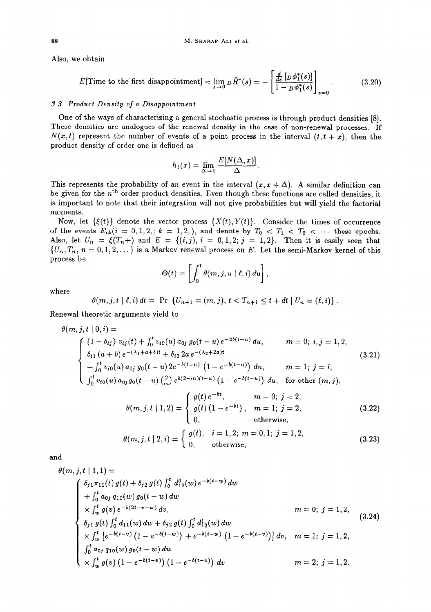Also, we obtain

$$
E[\text{Time to the first disappear} = \lim_{s \to 0} p \bar{R}^*(s) = -\left[\frac{\frac{d}{ds} \left[p\phi_1^*(s)\right]}{1 - p\phi_1^*(s)}\right]_{s=0}.\tag{3.20}
$$

# 3.3. *Product Density of a Disappointment*

One of the ways of characterizing a general stochastic process is through product densities [8]. These densities are analogues of the renewal density in the case of non-renewal processes. If  $N(x,t)$  represent the number of events of a point process in the interval  $(t, t + x)$ , then the product density of order one is defined as

$$
h_1(x)=\lim_{\Delta\to 0}\frac{E[N(\Delta,x)]}{\Delta}.
$$

This represents the probability of an event in the interval  $(x, x + \Delta)$ . A similar definition can be given for the  $n<sup>th</sup>$  order product densities. Even though these functions are called densities, it is important to note that their integration will not give probabilities but will yield the factorial moments.

Now, let  $\{\xi(t)\}\$  denote the vector process  $\{X(t), Y(t)\}\$ . Consider the times of occurrence of the events  $E_{ik}(i = 0, 1, 2, ; k = 1, 2, )$ , and denote by  $T_0 < T_1 < T_2 < \cdots$  these epochs. Also, let  $U_n = \xi(T_n+)$  and  $E = \{(i,j), i = 0,1,2; j = 1,2\}$ . Then it is easily seen that  $\{U_n, T_n, n = 0, 1, 2, \dots\}$  is a Markov renewal process on *E*. Let the semi-Markov kernel of this process be  $\Theta(t) = \left[ \int_0^t \theta(m, j, u \mid \ell, i) du \right],$ process be

$$
\Theta(t)=\left[\int_0^t \theta(m,j,u\mid \ell,i)\,du\right],
$$

where

$$
\theta(m, j, t \mid \ell, i) dt = \Pr \{U_{n+1} = (m, j), t < T_{n+1} \leq t + dt \mid U_n = (\ell, i) \}.
$$

Renewal theoretic arguments yield to

$$
\theta(m, j, t | 0, i) =
$$
\n
$$
\begin{cases}\n(1 - \delta_{ij}) v_{ij}(t) + \int_0^t v_{i0}(u) a_{0j} g_0(t - u) e^{-2b(t - u)} du, & m = 0; i, j = 1, 2, \\
\delta_{i1}(a + b) e^{-(\lambda_1 + a + b)t} + \delta_{i2} 2a e^{-(\lambda_2 + 2a)t} \\
+ \int_0^t v_{i0}(u) a_{0j} g_0(t - u) 2e^{-b(t - u)} (1 - e^{-b(t - u)}) du, & m = 1; j = i, \\
\int_0^t v_{i0}(u) a_{0j} g_0(t - u) \binom{2}{m} e^{b(2 - m)(t - u)} (1 - e^{-b(t - u)}) du, & \text{for other } (m, j),\n\end{cases}
$$
\n(3.21)

$$
\theta(m, j, t | 1, 2) = \begin{cases} g(t) e^{-bt}, & m = 0; j = 2, \\ g(t) (1 - e^{-bt}), & m = 1; j = 2, \\ 0, & \text{otherwise,} \end{cases}
$$
(3.22)

$$
\theta(m, j, t | 2, i) = \begin{cases} g(t), & i = 1, 2; \ m = 0, 1; \ j = 1, 2, \\ 0, & \text{otherwise,} \end{cases}
$$
(3.23)

and

$$
\theta(m, j, t | 1, 1) =
$$
\n
$$
\begin{cases}\n\delta_{j1}\pi_{11}(t) g(t) + \delta_{j2} g(t) \int_0^t d_{12}^0(w) e^{-b(t-w)} dw \\
+ \int_0^t a_{0j} q_{10}(w) g_0(t-w) dw \\
\times \int_w^t g(v) e^{-b(2t-v-w)} dv, & m = 0; j = 1, 2, \\
\delta_{j1} g(t) \int_0^t d_{11}(w) dw + \delta_{j2} g(t) \int_0^t d_{12}^1(w) dw \\
\times \int_w^t \left[ e^{-b(t-v)} \left( 1 - e^{-b(t-w)} \right) + e^{-b(t-w)} \left( 1 - e^{-b(t-v)} \right) \right] dv, & m = 1; j = 1, 2, \\
\int_0^t a_{0j} q_{10}(w) g_0(t-w) dw \\
\times \int_w^t g(v) \left( 1 - e^{-b(t-v)} \right) \left( 1 - e^{-b(t-v)} \right) dv\n\end{cases}
$$
\n
$$
(3.24)
$$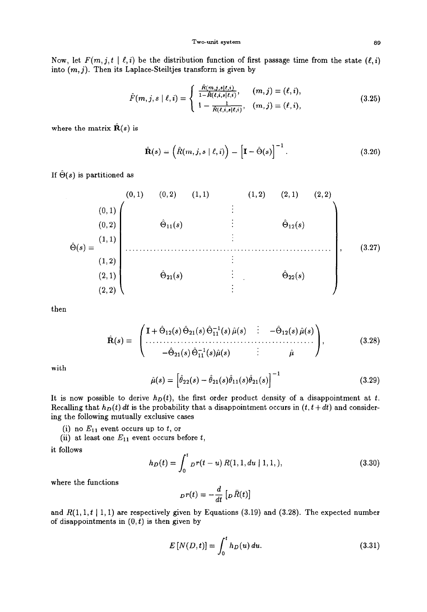Now, let  $F(m, j, t \mid \ell, i)$  be the distribution function of first passage time from the state  $(\ell, i)$ into  $(m, j)$ . Then its Laplace-Steiltjes transform is given by

$$
\hat{F}(m, j, s \mid \ell, i) = \begin{cases} \frac{\hat{R}(m, j, s \mid \ell, i)}{1 - \hat{R}(\ell, i, s \mid \ell, i)}, & (m, j) = (\ell, i), \\ 1 - \frac{1}{\hat{R}(\ell, i, s \mid \ell, i)}, & (m, j) = (\ell, i), \end{cases}
$$
(3.25)

where the matrix  $\mathbf{R}(s)$  is

$$
\hat{\mathbf{R}}(s) = \left(\hat{R}(m,j,s \mid \ell,i)\right) = \left[\mathbf{I} - \hat{\Theta}(s)\right]^{-1}.
$$
\n(3.26)

If  $\hat{\Theta}(s)$  is partitioned as

$$
\hat{\Theta}(s) = \begin{pmatrix}\n(0,1) & (0,2) & (1,1) & (1,2) & (2,1) & (2,2) \\
(0,1) & \hat{\Theta}_{11}(s) & \vdots & \hat{\Theta}_{12}(s) & \\
(1,2) & \vdots & & \\
(2,1) & \hat{\Theta}_{21}(s) & \vdots & \hat{\Theta}_{22}(s) & \\
(2,2)\n\end{pmatrix},
$$
\n(3.27)

then

$$
\hat{\mathbf{R}}(s) = \begin{pmatrix} \mathbf{I} + \hat{\Theta}_{12}(s) \hat{\Theta}_{21}(s) \hat{\Theta}_{11}^{-1}(s) \hat{\mu}(s) & \cdots & -\hat{\Theta}_{12}(s) \hat{\mu}(s) \\ \cdots & \cdots & \cdots & \cdots & \cdots & \cdots \\ -\hat{\Theta}_{21}(s) \hat{\Theta}_{11}^{-1}(s) \hat{\mu}(s) & \cdots & \hat{\mu} \end{pmatrix}, \tag{3.28}
$$

with

$$
\hat{\mu}(s) = \left[\hat{\theta}_{22}(s) - \hat{\theta}_{21}(s)\hat{\theta}_{11}(s)\hat{\theta}_{21}(s)\right]^{-1} \tag{3.29}
$$

It is now possible to derive  $h_D(t)$ , the first order product density of a disappointment at t. Recalling that  $h_D(t) dt$  is the probability that a disappointment occurs in  $(t, t + dt)$  and considering the following mutually exclusive cases

(i) no  $E_{11}$  event occurs up to t, or

(ii) at least one  $E_{11}$  event occurs before t,

it follows

$$
h_D(t) = \int_0^t Dr(t-u) R(1,1,du \mid 1,1,), \qquad (3.30)
$$

where the functions

$$
p r(t) = -\frac{d}{dt} \left[ p \,\bar{R}(t) \right]
$$

and  $R(1,1,t | 1,1)$  are respectively given by Equations (3.19) and (3.28). The expected number of disappointments in  $(0, t)$  is then given by

$$
E[N(D,t)] = \int_0^t h_D(u) \, du. \tag{3.31}
$$